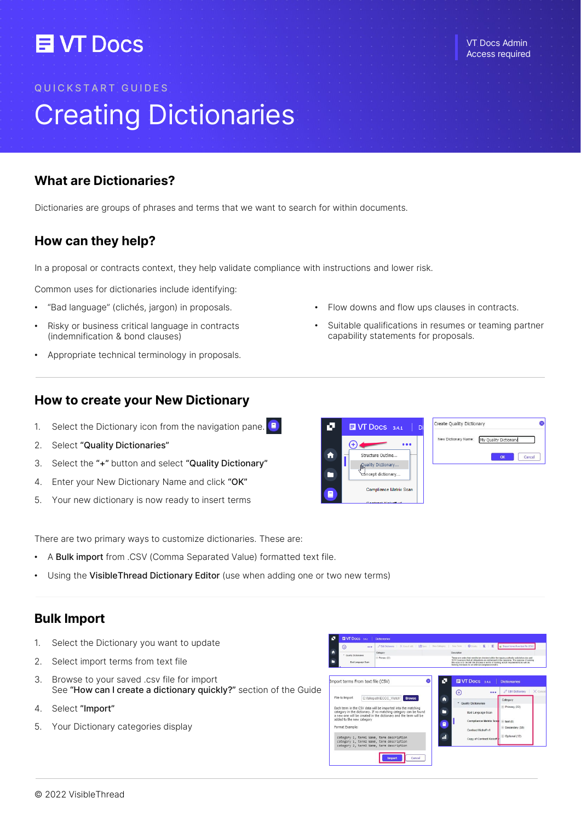## **目VT Docs**

#### VT Docs Admin Access required

#### QUICKSTART GUIDES

# Creating Dictionaries

#### What are Dictionaries?

Dictionaries are groups of phrases and terms that we want to search for within documents.

#### How can they help?

In a proposal or contracts context, they help validate compliance with instructions and lower risk.

Common uses for dictionaries include identifying:

- "Bad language" (clichés, jargon) in proposals.
- Risky or business critical language in contracts (indemnification & bond clauses)
- Appropriate technical terminology in proposals.

#### How to create your New Dictionary

- 1. Select the Dictionary icon from the navigation pane.  $\Box$
- 2. Select "Quality Dictionaries"
- 3. Select the "+" button and select "Quality Dictionary"
- 4. Enter your New Dictionary Name and click "OK"
- 5. Your new dictionary is now ready to insert terms



Flow downs and flow ups clauses in contracts.

capability statements for proposals.

Suitable qualifications in resumes or teaming partner



There are two primary ways to customize dictionaries. These are:

- A Bulk import from .CSV (Comma Separated Value) formatted text file.
- Using the VisibleThread Dictionary Editor (use when adding one or two new terms)

### Bulk Import

- 1. Select the Dictionary you want to update
- 2. Select import terms from text file
- 3. Browse to your saved .csv file for import See "How can I create a dictionary quickly?" section of the Guide
- 4. Select "Import"
- 5. Your Dictionary categories display

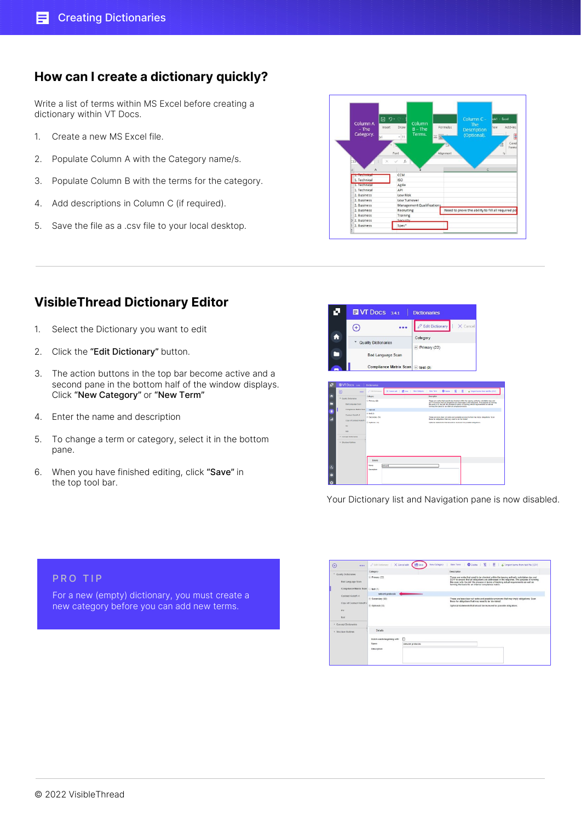#### How can I create a dictionary quickly?

Write a list of terms within MS Excel before creating a dictionary within VT Docs.

- 1. Create a new MS Excel file.
- 2. Populate Column A with the Category name/s.
- 3. Populate Column B with the terms for the category.
- 4. Add descriptions in Column C (if required).
- 5. Save the file as a .csv file to your local desktop.



### VisibleThread Dictionary Editor

- 1. Select the Dictionary you want to edit
- 2. Click the "Edit Dictionary" button.
- 3. The action buttons in the top bar become active and a second pane in the bottom half of the window displays. Click "New Category" or "New Term"
- 4. Enter the name and description
- 5. To change a term or category, select it in the bottom pane.

For a new (empty) dictionary, you must create a new category before you can add new terms.

6. When you have finished editing, click "Save" in the top tool bar.

|              |                                                                                                                                                                                                                                             |          |                                                       | <b>EI VT Docs</b> 3.4.1                                         |          | <b>Dictionaries</b>                                                                                                                                                                                                   |          |                                                                                                                                                                                                                                                                                      |  |  |
|--------------|---------------------------------------------------------------------------------------------------------------------------------------------------------------------------------------------------------------------------------------------|----------|-------------------------------------------------------|-----------------------------------------------------------------|----------|-----------------------------------------------------------------------------------------------------------------------------------------------------------------------------------------------------------------------|----------|--------------------------------------------------------------------------------------------------------------------------------------------------------------------------------------------------------------------------------------------------------------------------------------|--|--|
|              | A<br>÷                                                                                                                                                                                                                                      | Ŧ.       | Quality Dictionaries                                  | <b>Bad Language Scan</b><br>Compliance Matrix Scan   + test (0) | Category | <b>Edit Dictionary</b><br>$+$ Primary (22)                                                                                                                                                                            | X Cancel |                                                                                                                                                                                                                                                                                      |  |  |
| ч            | $\odot$                                                                                                                                                                                                                                     | $\cdots$ | Dictionaries<br>P tilt Dictionery                     | X Cancel edit   MS Save   New Collegery   New Term              |          | $\mathbf{r}$                                                                                                                                                                                                          |          | O Delay   $\overline{\mathbb{R}}$   $\overline{\mathbb{E}}$   $\overline{\phi}$   Importants for text fix (CD)                                                                                                                                                                       |  |  |
| n<br>−       |                                                                                                                                                                                                                                             |          | Category<br>$\otimes$ Penary (22)<br>nehred           |                                                                 |          | <b>Execution</b><br>forning the basis for an internal complaince matrix.                                                                                                                                              |          | These are verte that need to be checked within the tossing authority solicitation doc and<br>50/If to ensure that all obligations are addressed in the response. The purpose of running<br>this scan is to the risk' the process in terms of tracking actual requirements as well as |  |  |
| ۵<br>a       | <b>EM DOCS</b> 3A1<br>* Guatty Dictionaries<br><b>Bad Language Scan</b><br>Compliance Matrix Scan<br>Contract Kickoff v1<br>Copy of Contract Kickell'y<br>$\sim$<br><b>SHAR</b><br>> Concept Dictionaries<br><b>&gt; Structure Outlines</b> |          | $6$ lest (k)<br>D Secondary (50)<br>(8) Optional (12) |                                                                 |          | These are less clear cut verbs and possible sunonyms that may knot obligations. Scan<br>these for obligations that may need to be 'de-inked'<br>Optional statements that should be reviewed for possible obligations. |          |                                                                                                                                                                                                                                                                                      |  |  |
| ż,<br>ó<br>Ô |                                                                                                                                                                                                                                             |          | <b>Distallo</b><br>Name<br>Description                | retroof:                                                        |          |                                                                                                                                                                                                                       |          |                                                                                                                                                                                                                                                                                      |  |  |

Your Dictionary list and Navigation pane is now disabled.

| $\cdots$<br>$\left( \cdot \right)$                       | Citat Dictionary   X Cancel edit | <b>Hill</b> Sme   | New Term   © Delete   K   E   @ Import terms from text file (CSV)<br>New Category                                                                                                                                                                                                                                                          |
|----------------------------------------------------------|----------------------------------|-------------------|--------------------------------------------------------------------------------------------------------------------------------------------------------------------------------------------------------------------------------------------------------------------------------------------------------------------------------------------|
| * Quality Dictionaries                                   | Category                         |                   | Description                                                                                                                                                                                                                                                                                                                                |
| Bad Language Scan<br>Compliance Matrix Scan   - test (1) | $(4)$ Primary (22)               |                   | These are verbs that need to be checked within the issuing authority solicitation doc and<br>SOW to ensure that all obligations are addressed in the response. The purpose of running<br>this scan is to 'de-risk' the process in terms of tracking actual requirements as well as<br>forming the basis for an internal complaince matrix. |
|                                                          | network protocols                |                   |                                                                                                                                                                                                                                                                                                                                            |
| Contract Kickoff v1<br>Copy of Contract Kickett v        | $(4)$ Secondary (50)             |                   | These are less clear cut verbs and possible synonyms that may imply obligations. Scan<br>these for obligations that may need to be 'de-risked'.                                                                                                                                                                                            |
| me<br>test                                               | $\oplus$ Optional (12)           |                   | Optional statements that should be reviewed for possible obligations.                                                                                                                                                                                                                                                                      |
| Concept Dictionaries                                     |                                  |                   |                                                                                                                                                                                                                                                                                                                                            |
| <b>&gt; Structure Outlines</b>                           | Details                          |                   |                                                                                                                                                                                                                                                                                                                                            |
|                                                          | Match urords beginning with:     | $\Box$            |                                                                                                                                                                                                                                                                                                                                            |
|                                                          | Name:                            | network protocols |                                                                                                                                                                                                                                                                                                                                            |
|                                                          | Description:                     |                   |                                                                                                                                                                                                                                                                                                                                            |

PRO TIP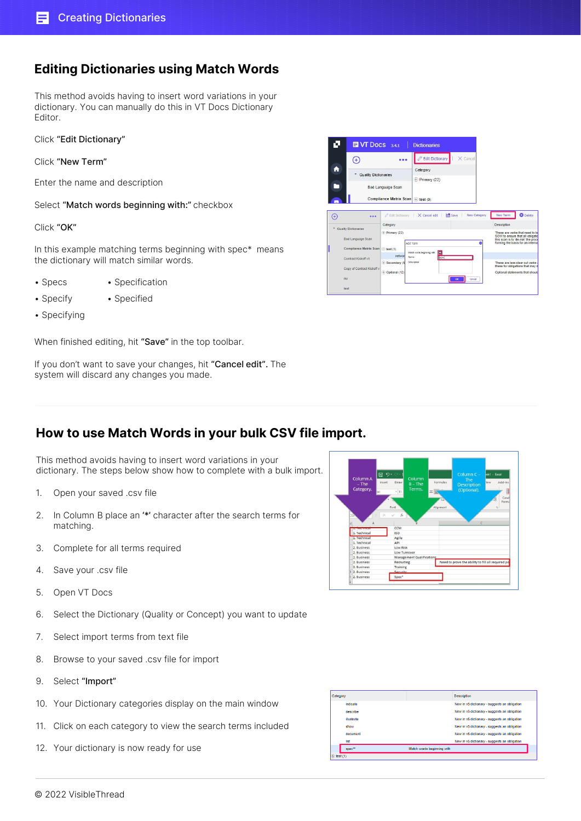#### Editing Dictionaries using Match Words

This method avoids having to insert word variations in your dictionary. You can manually do this in VT Docs Dictionary Editor.

Click "Edit Dictionary"

Click "New Term"

Enter the name and description

Select "Match words beginning with:" checkbox

Click "OK"

In this example matching terms beginning with spec\* means the dictionary will match similar words.

- 
- Specs Specification
- Specify Specified
- 
- Specifying

When finished editing, hit "Save" in the top toolbar.

If you don't want to save your changes, hit "Cancel edit". The system will discard any changes you made.

#### How to use Match Words in your bulk CSV file import.

This method avoids having to insert word variations in your dictionary. The steps below show how to complete with a bulk import.

- 1. Open your saved .csv file
- 2. In Column B place an '\*' character after the search terms for matching.
- 3. Complete for all terms required
- 4. Save your .csv file
- 5. Open VT Docs
- 6. Select the Dictionary (Quality or Concept) you want to update
- 7. Select import terms from text file
- 8. Browse to your saved .csv file for import
- 9. Select "Import"
- 10. Your Dictionary categories display on the main window
- 11. Click on each category to view the search terms included
- 12. Your dictionary is now ready for use

|   | 日 り-<br>Column A<br>Insert<br>$-$ The<br>Category.<br>bri | Column<br>Draw<br>$B$ – The<br>Terms.<br>$-11$<br>Ξ<br>Font | Formulas<br>Ξ<br>Alignment | Column C -<br>The<br><b>Description</b><br>(Optional). | ok1 - Excel<br>Add-ins<br><b>fiew</b><br>Cond<br>Forma |
|---|-----------------------------------------------------------|-------------------------------------------------------------|----------------------------|--------------------------------------------------------|--------------------------------------------------------|
|   |                                                           |                                                             |                            |                                                        | $\tau_{\rm a}$                                         |
| m | Δ<br><b>A. Recumicon</b>                                  | £.<br>CCM                                                   |                            |                                                        | $\epsilon$                                             |
|   | 1. Technical                                              | ISO.                                                        |                            |                                                        |                                                        |
|   | 1. Technical                                              | Agile                                                       |                            |                                                        |                                                        |
|   | 1. Technical                                              | API                                                         |                            |                                                        |                                                        |
|   | 2. Business                                               | Low Risk                                                    |                            |                                                        |                                                        |
|   | 2. Business                                               | Low Turnover                                                |                            |                                                        |                                                        |
|   | 2. Business                                               | Management Qualifications                                   |                            |                                                        |                                                        |
|   | 2. Business                                               | Recruiting                                                  |                            | Need to prove the ability to fill all required po      |                                                        |
|   | 2. Business                                               | Training                                                    |                            |                                                        |                                                        |
|   | 2. Rusiness<br>2. Business                                | Security<br>Spec*                                           |                            |                                                        |                                                        |



 $\sqrt{2}$  Edit Diction.  $\bigoplus$  $\ddotsc$  $\bullet$ Categon \* Quality Dictionaries **E** Primary (22) E **Bad Language Scan** Compliance Matrix Scan  $\bigoplus$  test (0)  $\odot$  $\ddotsc$  $\overline{X}$  Cancel edit  $\overline{X}$  Save New Catego New Term **Co** Delete  $A = 4$  is the line mary 122 Bad Language Scar  $\sim$ nce Matrix Scan Contract Kickoff v1 These are less clear cut vert<br>these for obligations that ma

**EVT** Docs 3.4.1 | Dictionaries

ø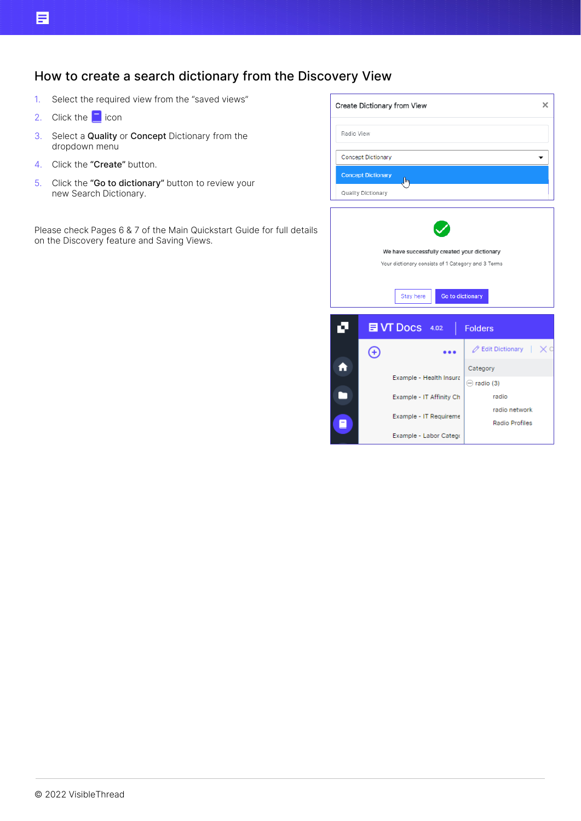## How to create a search dictionary from the Discovery View

- 1. Select the required view from the "saved views"
- 2. Click the  $\Box$  icon
- 3. Select a Quality or Concept Dictionary from the dropdown menu
- 4. Click the "Create" button.
- 5. Click the "Go to dictionary" button to review your new Search Dictionary.

Please check Pages 6 & 7 of the Main Quickstart Guide for full details on the Discovery feature and Saving Views.

|               |                           | Create Dictionary from View                                                                                                         | ×                                             |  |  |  |  |  |  |
|---------------|---------------------------|-------------------------------------------------------------------------------------------------------------------------------------|-----------------------------------------------|--|--|--|--|--|--|
| Radio View    |                           |                                                                                                                                     |                                               |  |  |  |  |  |  |
|               | <b>Concept Dictionary</b> |                                                                                                                                     |                                               |  |  |  |  |  |  |
|               | <b>Concept Dictionary</b> | խհ                                                                                                                                  |                                               |  |  |  |  |  |  |
|               | Quality Dictionary        |                                                                                                                                     |                                               |  |  |  |  |  |  |
|               |                           | We have successfully created your dictionary<br>Your dictionary consists of 1 Category and 3 Terms<br>Go to dictionary<br>Stay here |                                               |  |  |  |  |  |  |
| ٦             |                           | 目 VT Docs 4.02                                                                                                                      | <b>Folders</b>                                |  |  |  |  |  |  |
|               | Œ                         |                                                                                                                                     | $\mathscr{D}$ Edit Dictionary $\Box \times C$ |  |  |  |  |  |  |
|               |                           | Example - Health Insura                                                                                                             | Category                                      |  |  |  |  |  |  |
|               |                           | Example - IT Affinity Ch                                                                                                            | $\ominus$ radio (3)<br>radio                  |  |  |  |  |  |  |
| radio network |                           |                                                                                                                                     |                                               |  |  |  |  |  |  |

Example - IT Requireme

Example - Labor Catego

Radio Profiles